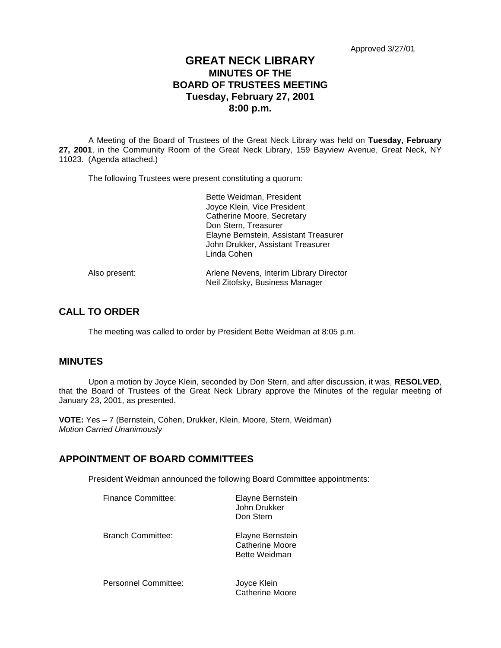# **GREAT NECK LIBRARY MINUTES OF THE BOARD OF TRUSTEES MEETING Tuesday, February 27, 2001 8:00 p.m.**

A Meeting of the Board of Trustees of the Great Neck Library was held on **Tuesday, February 27, 2001**, in the Community Room of the Great Neck Library, 159 Bayview Avenue, Great Neck, NY 11023. (Agenda attached.)

The following Trustees were present constituting a quorum:

|               | Bette Weidman, President<br>Joyce Klein, Vice President<br>Catherine Moore, Secretary     |  |
|---------------|-------------------------------------------------------------------------------------------|--|
|               | Don Stern, Treasurer                                                                      |  |
|               | Elayne Bernstein, Assistant Treasurer<br>John Drukker, Assistant Treasurer<br>Linda Cohen |  |
| Also present: | Arlene Nevens, Interim Library Director<br>Neil Zitofsky, Business Manager                |  |

# **CALL TO ORDER**

The meeting was called to order by President Bette Weidman at 8:05 p.m.

## **MINUTES**

Upon a motion by Joyce Klein, seconded by Don Stern, and after discussion, it was, **RESOLVED**, that the Board of Trustees of the Great Neck Library approve the Minutes of the regular meeting of January 23, 2001, as presented.

**VOTE:** Yes – 7 (Bernstein, Cohen, Drukker, Klein, Moore, Stern, Weidman) *Motion Carried Unanimously*

# **APPOINTMENT OF BOARD COMMITTEES**

President Weidman announced the following Board Committee appointments:

| Finance Committee:   | Elayne Bernstein<br>John Drukker<br>Don Stern        |
|----------------------|------------------------------------------------------|
| Branch Committee:    | Elayne Bernstein<br>Catherine Moore<br>Bette Weidman |
| Personnel Committee: | Joyce Klein<br>Catherine Moore                       |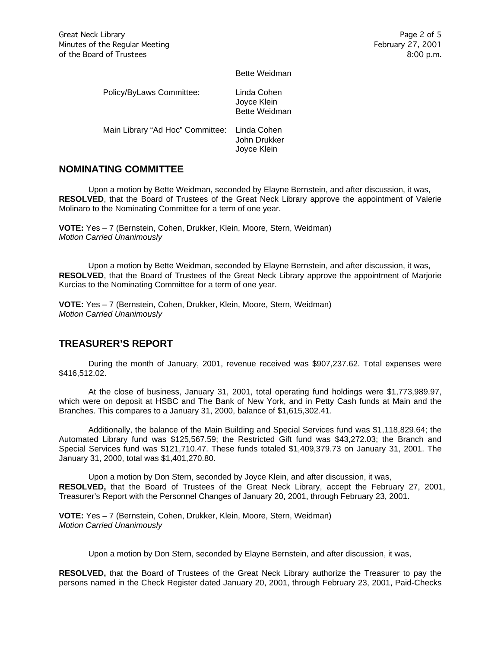|                                  | Bette Weidman                                      |
|----------------------------------|----------------------------------------------------|
| Policy/ByLaws Committee:         | Linda Cohen<br>Joyce Klein<br><b>Bette Weidman</b> |
| Main Library "Ad Hoc" Committee: | Linda Cohen<br>John Drukker<br>Joyce Klein         |

# **NOMINATING COMMITTEE**

Upon a motion by Bette Weidman, seconded by Elayne Bernstein, and after discussion, it was, **RESOLVED**, that the Board of Trustees of the Great Neck Library approve the appointment of Valerie Molinaro to the Nominating Committee for a term of one year.

**VOTE:** Yes – 7 (Bernstein, Cohen, Drukker, Klein, Moore, Stern, Weidman) *Motion Carried Unanimously*

Upon a motion by Bette Weidman, seconded by Elayne Bernstein, and after discussion, it was, **RESOLVED**, that the Board of Trustees of the Great Neck Library approve the appointment of Marjorie Kurcias to the Nominating Committee for a term of one year.

**VOTE:** Yes – 7 (Bernstein, Cohen, Drukker, Klein, Moore, Stern, Weidman) *Motion Carried Unanimously*

# **TREASURER'S REPORT**

During the month of January, 2001, revenue received was \$907,237.62. Total expenses were \$416,512.02.

At the close of business, January 31, 2001, total operating fund holdings were \$1,773,989.97, which were on deposit at HSBC and The Bank of New York, and in Petty Cash funds at Main and the Branches. This compares to a January 31, 2000, balance of \$1,615,302.41.

Additionally, the balance of the Main Building and Special Services fund was \$1,118,829.64; the Automated Library fund was \$125,567.59; the Restricted Gift fund was \$43,272.03; the Branch and Special Services fund was \$121,710.47. These funds totaled \$1,409,379.73 on January 31, 2001. The January 31, 2000, total was \$1,401,270.80.

Upon a motion by Don Stern, seconded by Joyce Klein, and after discussion, it was, **RESOLVED,** that the Board of Trustees of the Great Neck Library, accept the February 27, 2001, Treasurer's Report with the Personnel Changes of January 20, 2001, through February 23, 2001.

**VOTE:** Yes – 7 (Bernstein, Cohen, Drukker, Klein, Moore, Stern, Weidman) *Motion Carried Unanimously*

Upon a motion by Don Stern, seconded by Elayne Bernstein, and after discussion, it was,

**RESOLVED,** that the Board of Trustees of the Great Neck Library authorize the Treasurer to pay the persons named in the Check Register dated January 20, 2001, through February 23, 2001, Paid-Checks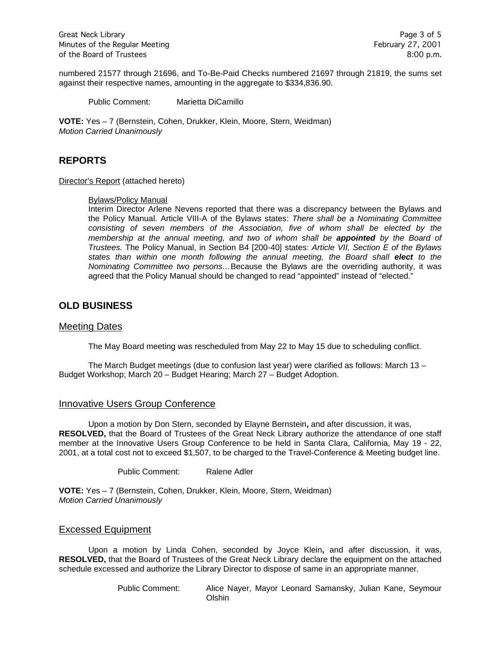numbered 21577 through 21696, and To-Be-Paid Checks numbered 21697 through 21819, the sums set against their respective names, amounting in the aggregate to \$334,836.90.

Public Comment: Marietta DiCamillo

**VOTE:** Yes – 7 (Bernstein, Cohen, Drukker, Klein, Moore, Stern, Weidman) *Motion Carried Unanimously*

# **REPORTS**

Director's Report (attached hereto)

#### Bylaws/Policy Manual

Interim Director Arlene Nevens reported that there was a discrepancy between the Bylaws and the Policy Manual. Article VIII-A of the Bylaws states: *There shall be a Nominating Committee consisting of seven members of the Association, five of whom shall be elected by the membership at the annual meeting, and two of whom shall be appointed by the Board of Trustees.* The Policy Manual, in Section B4 [200-40] states: *Article VII, Section E of the Bylaws*  states than within one month following the annual meeting, the Board shall elect to the *Nominating Committee two persons…*Because the Bylaws are the overriding authority, it was agreed that the Policy Manual should be changed to read "appointed" instead of "elected."

## **OLD BUSINESS**

#### Meeting Dates

The May Board meeting was rescheduled from May 22 to May 15 due to scheduling conflict.

The March Budget meetings (due to confusion last year) were clarified as follows: March 13 – Budget Workshop; March 20 – Budget Hearing; March 27 – Budget Adoption.

### Innovative Users Group Conference

Upon a motion by Don Stern, seconded by Elayne Bernstein**,** and after discussion, it was, **RESOLVED,** that the Board of Trustees of the Great Neck Library authorize the attendance of one staff member at the Innovative Users Group Conference to be held in Santa Clara, California, May 19 - 22, 2001, at a total cost not to exceed \$1,507, to be charged to the Travel-Conference & Meeting budget line.

Public Comment: Ralene Adler

**VOTE:** Yes – 7 (Bernstein, Cohen, Drukker, Klein, Moore, Stern, Weidman) *Motion Carried Unanimously*

### Excessed Equipment

Upon a motion by Linda Cohen, seconded by Joyce Klein**,** and after discussion, it was, **RESOLVED,** that the Board of Trustees of the Great Neck Library declare the equipment on the attached schedule excessed and authorize the Library Director to dispose of same in an appropriate manner.

> Public Comment: Alice Nayer, Mayor Leonard Samansky, Julian Kane, Seymour **Olshin**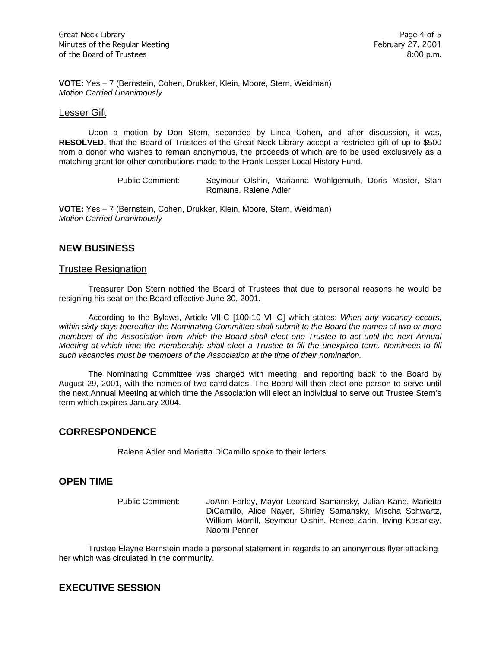**VOTE:** Yes – 7 (Bernstein, Cohen, Drukker, Klein, Moore, Stern, Weidman) *Motion Carried Unanimously*

#### Lesser Gift

Upon a motion by Don Stern, seconded by Linda Cohen**,** and after discussion, it was, **RESOLVED,** that the Board of Trustees of the Great Neck Library accept a restricted gift of up to \$500 from a donor who wishes to remain anonymous, the proceeds of which are to be used exclusively as a matching grant for other contributions made to the Frank Lesser Local History Fund.

> Public Comment: Seymour Olshin, Marianna Wohlgemuth, Doris Master, Stan Romaine, Ralene Adler

**VOTE:** Yes – 7 (Bernstein, Cohen, Drukker, Klein, Moore, Stern, Weidman) *Motion Carried Unanimously*

## **NEW BUSINESS**

#### Trustee Resignation

Treasurer Don Stern notified the Board of Trustees that due to personal reasons he would be resigning his seat on the Board effective June 30, 2001.

According to the Bylaws, Article VII-C [100-10 VII-C] which states: *When any vacancy occurs, within sixty days thereafter the Nominating Committee shall submit to the Board the names of two or more members of the Association from which the Board shall elect one Trustee to act until the next Annual Meeting at which time the membership shall elect a Trustee to fill the unexpired term. Nominees to fill such vacancies must be members of the Association at the time of their nomination.*

The Nominating Committee was charged with meeting, and reporting back to the Board by August 29, 2001, with the names of two candidates. The Board will then elect one person to serve until the next Annual Meeting at which time the Association will elect an individual to serve out Trustee Stern's term which expires January 2004.

### **CORRESPONDENCE**

Ralene Adler and Marietta DiCamillo spoke to their letters.

### **OPEN TIME**

Public Comment: JoAnn Farley, Mayor Leonard Samansky, Julian Kane, Marietta DiCamillo, Alice Nayer, Shirley Samansky, Mischa Schwartz, William Morrill, Seymour Olshin, Renee Zarin, Irving Kasarksy, Naomi Penner

Trustee Elayne Bernstein made a personal statement in regards to an anonymous flyer attacking her which was circulated in the community.

# **EXECUTIVE SESSION**